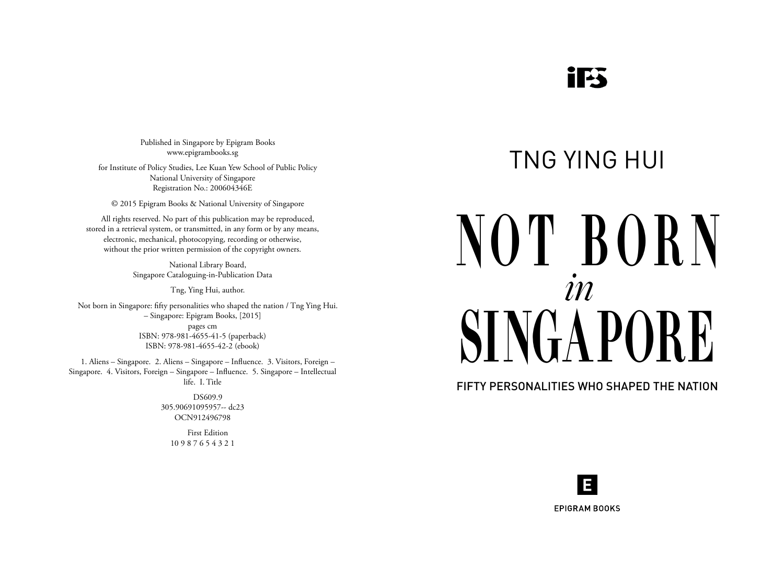# 113

Published in Singapore by Epigram Books www.epigrambooks.sg

for Institute of Policy Studies, Lee Kuan Yew School of Public Policy National University of Singapore Registration No.: 200604346E

© 2015 Epigram Books & National University of Singapore

All rights reserved. No part of this publication may be reproduced, stored in a retrieval system, or transmitted, in any form or by any means, electronic, mechanical, photocopying, recording or otherwise, without the prior written permission of the copyright owners.

> National Library Board, Singapore Cataloguing-in-Publication Data

> > Tng, Ying Hui, author.

Not born in Singapore: fifty personalities who shaped the nation / Tng Ying Hui. – Singapore: Epigram Books, [2015] pages cm ISBN: 978-981-4655-41-5 (paperback) ISBN: 978-981-4655-42-2 (ebook)

1. Aliens – Singapore. 2. Aliens – Singapore – Influence. 3. Visitors, Foreign – Singapore. 4. Visitors, Foreign – Singapore – Influence. 5. Singapore – Intellectual life. I. Title

> DS609.9 305.90691095957-- dc23 OCN912496798

> > First Edition 10 9 8 7 6 5 4 3 2 1

# TNG YING HUI

# NOT BORN JGAPORE *in*

### FIFTY PERSONALITIES WHO SHAPED THE NATION

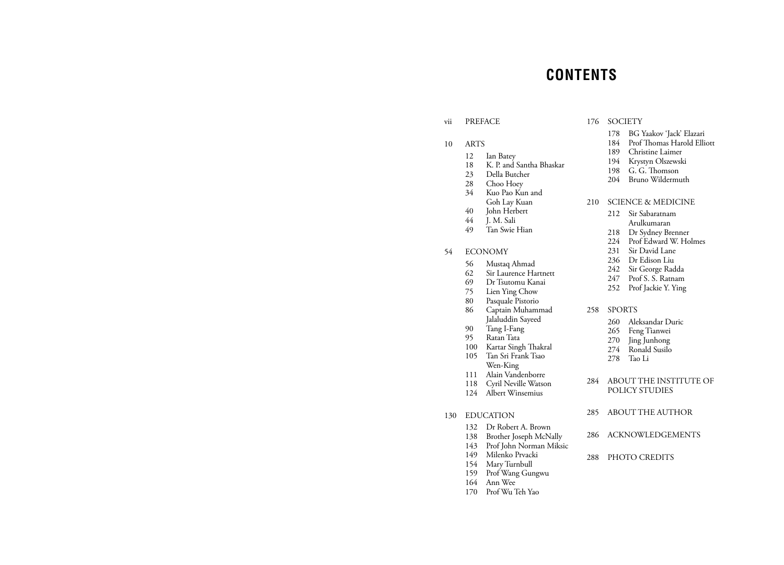# **CONTENTS**

#### vii PREFACE

#### 10 ARTS

- 12 Ian Batey<br>18 K. P. and
- 18 K. P. and Santha Bhaskar<br>23 Della Butcher
- 23 Della Butcher
- 28 Choo Hoey<br>34 Kuo Pao Ku
- Kuo Pao Kun and Goh Lay Kuan
- 
- 40 John Herbert<br>44 J. M. Sali
- 44 J. M. Sali Tan Swie Hian
- 

#### 54 ECONOMY

- 56 Mustaq Ahmad
- 62 Sir Laurence Hartnett<br>69 Dr Tsutomu Kanai
- 69 Dr Tsutomu Kanai
- 75 Lien Ying Chow
- 80 Pasquale Pistorio
- Captain Muhammad Jalaluddin Sayeed
- 90 Tang I-Fang
- Ratan Tata
- 100 Kartar Singh Thakral
- Tan Sri Frank Tsao Wen-King
- 111 Alain Vandenborre<br>118 Cvril Neville Watso
- 118 Cyril Neville Watson<br>124 Albert Winsemius
- Albert Winsemius

#### 130 EDUCATION

- 132 Dr Robert A. Brown
- 138 Brother Joseph McNally<br>143 Prof John Norman Miksi
- 143 Prof John Norman Miksic<br>149 Milenko Prvacki
- 149 Milenko Prvacki
- Mary Turnbull
- 159 Prof Wang Gungwu
- 164 Ann Wee
- Prof Wu Teh Yao

#### 176 SOCIETY

- 178 BG Yaakov 'Jack' Elazari
- 184 Prof Thomas Harold Elliott<br>189 Christine Laimer
- 189 Christine Laimer<br>194 Krystyn Olszewsk
- 194 Krystyn Olszewski<br>198 G. G. Thomson
- 198 G. G. Thomson<br>204 Bruno Wildermi
- Bruno Wildermuth

#### 210 SCIENCE & MEDICINE

- 212 Sir Sabaratnam
- Arulkumaran
- 218 Dr Sydney Brenner
- 224 Prof Edward W. Holmes<br>231 Sir David Lane
- 231 Sir David Lane<br>236 Dr Edison Liu
- 236 Dr Edison Liu<br>242 Sir George Rad
- 242 Sir George Radda<br>247 Prof S. S. Ratnam
- Prof S. S. Ratnam
- 252 Prof Jackie Y. Ying

#### 258 SPORTS

- 260 Aleksandar Duric<br>265 Feng Tianwei
- 
- 265 Feng Tianwei<br>270 Jing Junhong
- 270 Jing Junhong<br>274 Ronald Susilo Ronald Susilo
- 278 Tao Li

#### 284 ABOUT THE INSTITUTE OF POLICY STUDIES

- 285 ABOUT THE AUTHOR
- 286 ACKNOWLEDGEMENTS
- 288 PHOTO CREDITS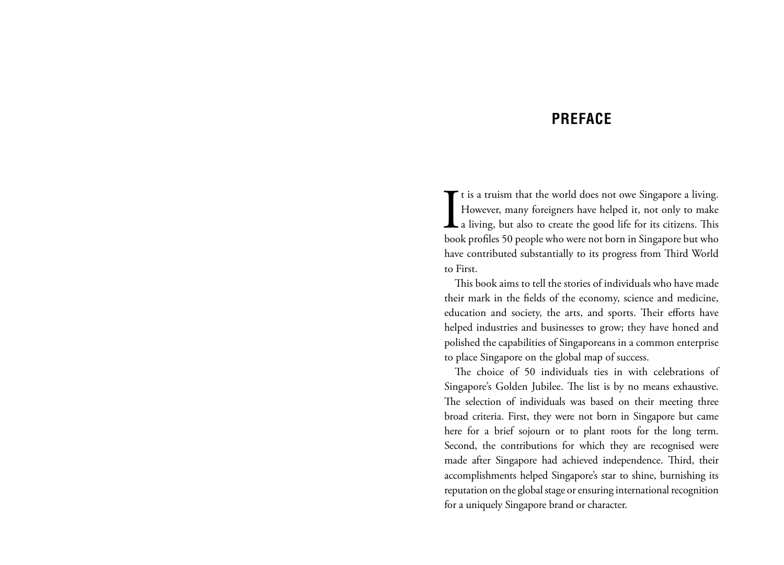# **PREFACE**

It is a truism that the world does not owe Singapore a living.<br>However, many foreigners have helped it, not only to make<br>a living, but also to create the good life for its citizens. This<br>book profiles 50 people who were no However, many foreigners have helped it, not only to make a living, but also to create the good life for its citizens. This book profiles 50 people who were not born in Singapore but who have contributed substantially to its progress from Third World to First.

This book aims to tell the stories of individuals who have made their mark in the fields of the economy, science and medicine, education and society, the arts, and sports. Their efforts have helped industries and businesses to grow; they have honed and polished the capabilities of Singaporeans in a common enterprise to place Singapore on the global map of success.

The choice of 50 individuals ties in with celebrations of Singapore's Golden Jubilee. The list is by no means exhaustive. The selection of individuals was based on their meeting three broad criteria. First, they were not born in Singapore but came here for a brief sojourn or to plant roots for the long term. Second, the contributions for which they are recognised were made after Singapore had achieved independence. Third, their accomplishments helped Singapore's star to shine, burnishing its reputation on the global stage or ensuring international recognition for a uniquely Singapore brand or character.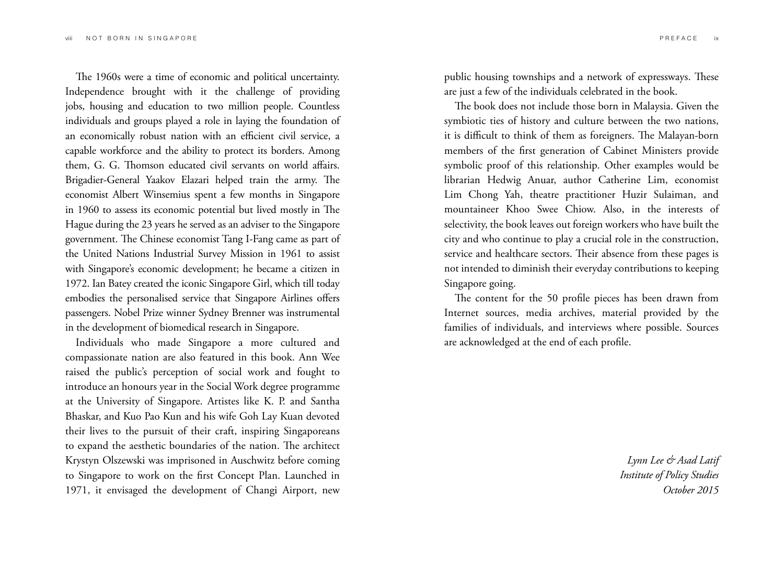The 1960s were a time of economic and political uncertainty. Independence brought with it the challenge of providing jobs, housing and education to two million people. Countless individuals and groups played a role in laying the foundation of an economically robust nation with an efficient civil service, a capable workforce and the ability to protect its borders. Among them, G. G. Thomson educated civil servants on world affairs. Brigadier-General Yaakov Elazari helped train the army. The economist Albert Winsemius spent a few months in Singapore in 1960 to assess its economic potential but lived mostly in The Hague during the 23 years he served as an adviser to the Singapore government. The Chinese economist Tang I-Fang came as part of the United Nations Industrial Survey Mission in 1961 to assist with Singapore's economic development; he became a citizen in 1972. Ian Batey created the iconic Singapore Girl, which till today embodies the personalised service that Singapore Airlines offers passengers. Nobel Prize winner Sydney Brenner was instrumental in the development of biomedical research in Singapore.

Individuals who made Singapore a more cultured and compassionate nation are also featured in this book. Ann Wee raised the public's perception of social work and fought to introduce an honours year in the Social Work degree programme at the University of Singapore. Artistes like K. P. and Santha Bhaskar, and Kuo Pao Kun and his wife Goh Lay Kuan devoted their lives to the pursuit of their craft, inspiring Singaporeans to expand the aesthetic boundaries of the nation. The architect Krystyn Olszewski was imprisoned in Auschwitz before coming to Singapore to work on the first Concept Plan. Launched in 1971, it envisaged the development of Changi Airport, new

public housing townships and a network of expressways. These are just a few of the individuals celebrated in the book.

The book does not include those born in Malaysia. Given the symbiotic ties of history and culture between the two nations, it is difficult to think of them as foreigners. The Malayan-born members of the first generation of Cabinet Ministers provide symbolic proof of this relationship. Other examples would be librarian Hedwig Anuar, author Catherine Lim, economist Lim Chong Yah, theatre practitioner Huzir Sulaiman, and mountaineer Khoo Swee Chiow. Also, in the interests of selectivity, the book leaves out foreign workers who have built the city and who continue to play a crucial role in the construction, service and healthcare sectors. Their absence from these pages is not intended to diminish their everyday contributions to keeping Singapore going.

The content for the 50 profile pieces has been drawn from Internet sources, media archives, material provided by the families of individuals, and interviews where possible. Sources are acknowledged at the end of each profile.

> *Lynn Lee & Asad Latif Institute of Policy Studies October 2015*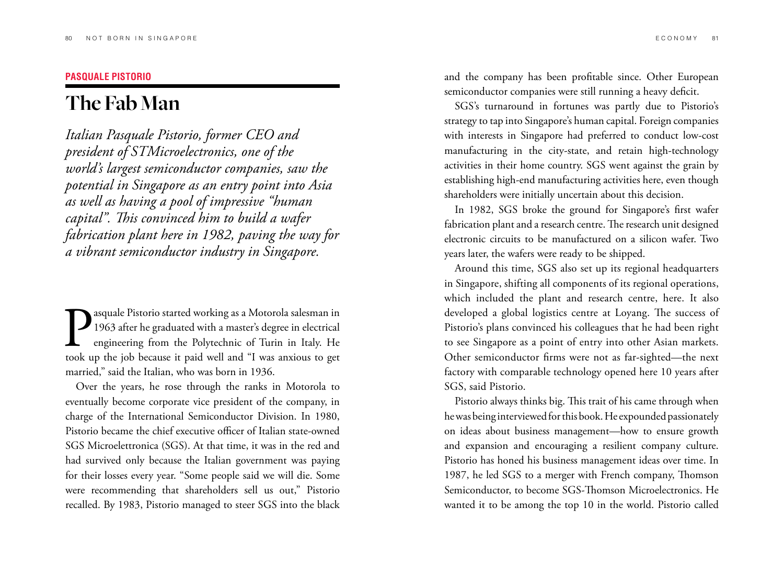#### **PASQUALE PISTORIO**

# **The Fab Man**

*Italian Pasquale Pistorio, former CEO and president of STMicroelectronics, one of the world's largest semiconductor companies, saw the potential in Singapore as an entry point into Asia as well as having a pool of impressive "human capital". This convinced him to build a wafer fabrication plant here in 1982, paving the way for a vibrant semiconductor industry in Singapore.*

**Pasquale Pistorio started working as a Motorola salesman in** 1963 after he graduated with a master's degree in electrical engineering from the Polytechnic of Turin in Italy. He took up the job because it paid well and "I 1963 after he graduated with a master's degree in electrical engineering from the Polytechnic of Turin in Italy. He took up the job because it paid well and "I was anxious to get married," said the Italian, who was born in 1936.

Over the years, he rose through the ranks in Motorola to eventually become corporate vice president of the company, in charge of the International Semiconductor Division. In 1980, Pistorio became the chief executive officer of Italian state-owned SGS Microelettronica (SGS). At that time, it was in the red and had survived only because the Italian government was paying for their losses every year. "Some people said we will die. Some were recommending that shareholders sell us out," Pistorio recalled. By 1983, Pistorio managed to steer SGS into the black and the company has been profitable since. Other European semiconductor companies were still running a heavy deficit.

SGS's turnaround in fortunes was partly due to Pistorio's strategy to tap into Singapore's human capital. Foreign companies with interests in Singapore had preferred to conduct low-cost manufacturing in the city-state, and retain high-technology activities in their home country. SGS went against the grain by establishing high-end manufacturing activities here, even though shareholders were initially uncertain about this decision.

In 1982, SGS broke the ground for Singapore's first wafer fabrication plant and a research centre. The research unit designed electronic circuits to be manufactured on a silicon wafer. Two years later, the wafers were ready to be shipped.

Around this time, SGS also set up its regional headquarters in Singapore, shifting all components of its regional operations, which included the plant and research centre, here. It also developed a global logistics centre at Loyang. The success of Pistorio's plans convinced his colleagues that he had been right to see Singapore as a point of entry into other Asian markets. Other semiconductor firms were not as far-sighted—the next factory with comparable technology opened here 10 years after SGS, said Pistorio.

Pistorio always thinks big. This trait of his came through when he was being interviewed for this book. He expounded passionately on ideas about business management—how to ensure growth and expansion and encouraging a resilient company culture. Pistorio has honed his business management ideas over time. In 1987, he led SGS to a merger with French company, Thomson Semiconductor, to become SGS-Thomson Microelectronics. He wanted it to be among the top 10 in the world. Pistorio called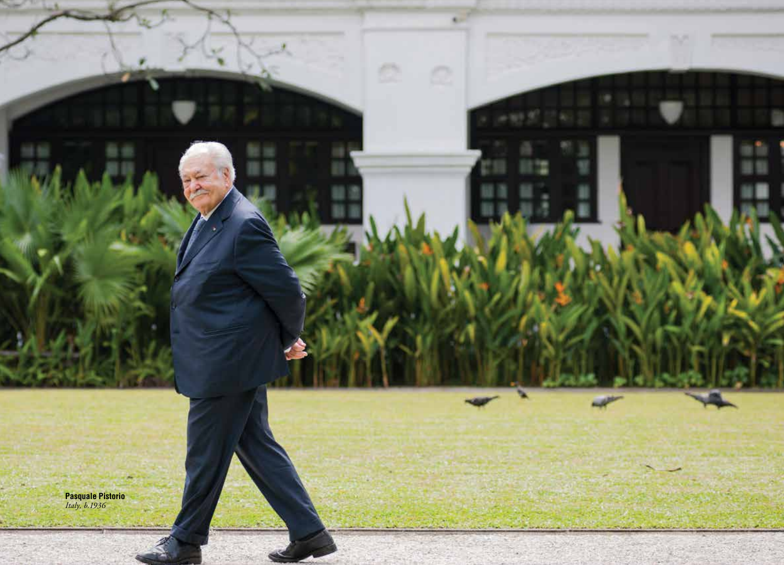**Pasquale Pistorio**  *Italy, b.1936*

٠

**Section** 

a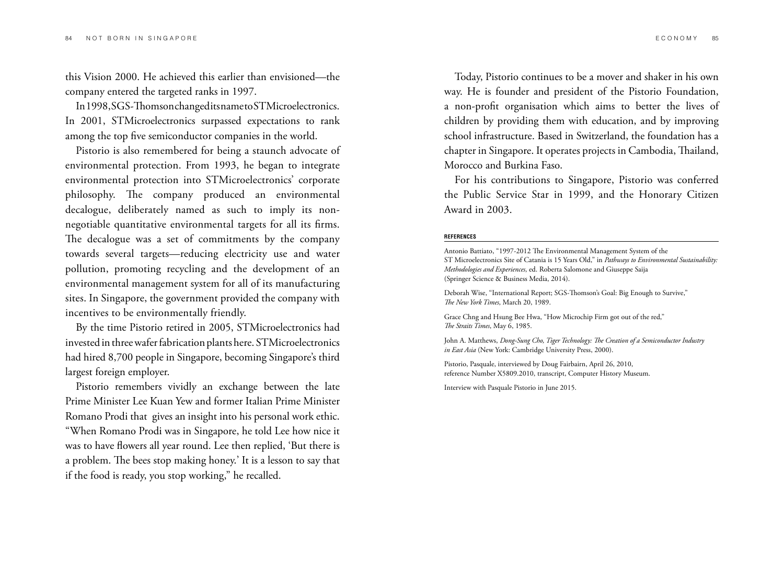this Vision 2000. He achieved this earlier than envisioned—the company entered the targeted ranks in 1997.

In 1998, SGS-Thomson changed its name to STMicroelectronics. In 2001, STMicroelectronics surpassed expectations to rank among the top five semiconductor companies in the world.

Pistorio is also remembered for being a staunch advocate of environmental protection. From 1993, he began to integrate environmental protection into STMicroelectronics' corporate philosophy. The company produced an environmental decalogue, deliberately named as such to imply its nonnegotiable quantitative environmental targets for all its firms. The decalogue was a set of commitments by the company towards several targets—reducing electricity use and water pollution, promoting recycling and the development of an environmental management system for all of its manufacturing sites. In Singapore, the government provided the company with incentives to be environmentally friendly.

By the time Pistorio retired in 2005, STMicroelectronics had invested in three wafer fabrication plants here. STMicroelectronics had hired 8,700 people in Singapore, becoming Singapore's third largest foreign employer.

Pistorio remembers vividly an exchange between the late Prime Minister Lee Kuan Yew and former Italian Prime Minister Romano Prodi that gives an insight into his personal work ethic. "When Romano Prodi was in Singapore, he told Lee how nice it was to have flowers all year round. Lee then replied, 'But there is a problem. The bees stop making honey.' It is a lesson to say that if the food is ready, you stop working," he recalled.

Today, Pistorio continues to be a mover and shaker in his own way. He is founder and president of the Pistorio Foundation, a non-profit organisation which aims to better the lives of children by providing them with education, and by improving school infrastructure. Based in Switzerland, the foundation has a chapter in Singapore. It operates projects in Cambodia, Thailand, Morocco and Burkina Faso.

For his contributions to Singapore, Pistorio was conferred the Public Service Star in 1999, and the Honorary Citizen Award in 2003.

#### **REFERENCES**

Antonio Battiato, "1997-2012 The Environmental Management System of the ST Microelectronics Site of Catania is 15 Years Old," in *Pathways to Environmental Sustainability: Methodologies and Experiences*, ed. Roberta Salomone and Giuseppe Saija (Springer Science & Business Media, 2014).

Deborah Wise, "International Report; SGS-Thomson's Goal: Big Enough to Survive," *The New York Times*, March 20, 1989.

Grace Chng and Hsung Bee Hwa, "How Microchip Firm got out of the red," *The Straits Times*, May 6, 1985.

John A. Matthews, *Dong-Sung Cho, Tiger Technology: The Creation of a Semiconductor Industry in East Asia* (New York: Cambridge University Press, 2000).

Pistorio, Pasquale, interviewed by Doug Fairbairn, April 26, 2010, reference Number X5809.2010, transcript, Computer History Museum.

Interview with Pasquale Pistorio in June 2015.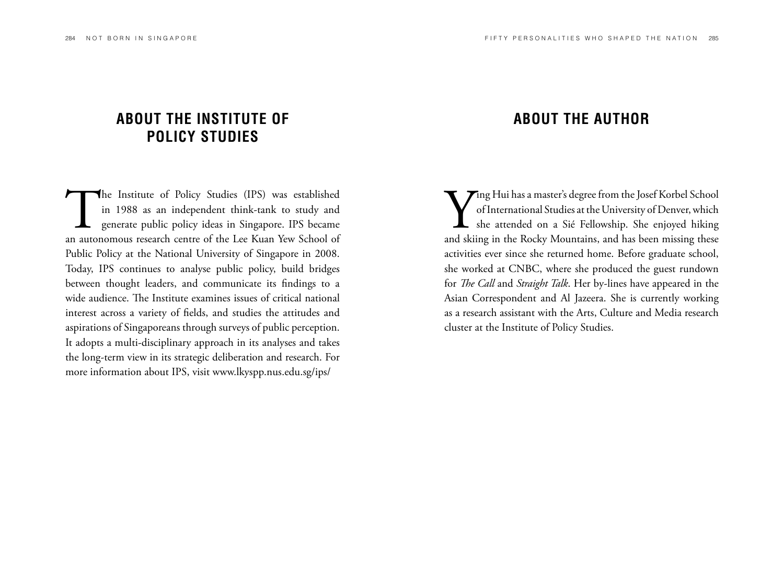# **ABOUT THE INSTITUTE OF POLICY STUDIES**

The Institute of Policy Studies (IPS) was established<br>in 1988 as an independent think-tank to study and<br>generate public policy ideas in Singapore. IPS became<br>an autonomous research centre of the Lee Kuan Yew School of in 1988 as an independent think-tank to study and generate public policy ideas in Singapore. IPS became an autonomous research centre of the Lee Kuan Yew School of Public Policy at the National University of Singapore in 2008. Today, IPS continues to analyse public policy, build bridges between thought leaders, and communicate its findings to a wide audience. The Institute examines issues of critical national interest across a variety of fields, and studies the attitudes and aspirations of Singaporeans through surveys of public perception. It adopts a multi-disciplinary approach in its analyses and takes the long-term view in its strategic deliberation and research. For more information about IPS, visit www.lkyspp.nus.edu.sg/ips/

# **ABOUT THE AUTHOR**

Ing Hui has a master's degree from the Josef Korbel School<br>of International Studies at the University of Denver, which<br>she attended on a Sié Fellowship. She enjoyed hiking<br>and skiing in the Rocky Mountains, and has been mi of International Studies at the University of Denver, which she attended on a Sié Fellowship. She enjoyed hiking and skiing in the Rocky Mountains, and has been missing these activities ever since she returned home. Before graduate school, she worked at CNBC, where she produced the guest rundown for *The Call* and *Straight Talk*. Her by-lines have appeared in the Asian Correspondent and Al Jazeera. She is currently working as a research assistant with the Arts, Culture and Media research cluster at the Institute of Policy Studies.